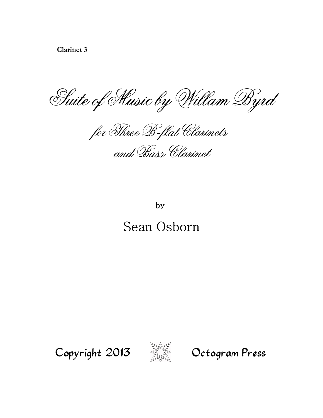**Clarinet 3**

Suite of Music by Willam Byrd

for Three B-flat Clarinets

and Bass Clarinet

by

# Sean Osborn



Copyright 2013 Octogram Press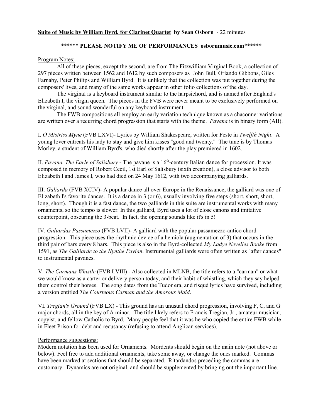# **Suite of Music by William Byrd, for Clarinet Quartet by Sean Osborn** - 22 minutes

## \*\*\*\*\*\* **PLEASE NOTIFY ME OF PERFORMANCES osbornmusic.com**\*\*\*\*\*\*

#### Program Notes:

All of these pieces, except the second, are from The Fitzwilliam Virginal Book, a collection of 297 pieces written between 1562 and 1612 by such composers as John Bull, Orlando Gibbons, Giles Farnaby, Peter Philips and William Byrd. It is unlikely that the collection was put together during the composers' lives, and many of the same works appear in other folio collections of the day.

The virginal is a keyboard instrument similar to the harpsichord, and is named after England's Elizabeth I, the virgin queen. The pieces in the FVB were never meant to be exclusively performed on the virginal, and sound wonderful on any keyboard instrument.

The FWB compositions all employ an early variation technique known as a chaconne: variations are written over a recurring chord progression that starts with the theme. *Pavana* is in binary form (AB).

I. *O Mistriss Myne* (FVB LXVI)- Lyrics by William Shakespeare, written for Feste in *Twelfth Night*. A young lover entreats his lady to stay and give him kisses "good and twenty." The tune is by Thomas Morley, a student of William Byrd's, who died shortly after the play premiered in 1602.

II. Pavana. The Earle of Salisbury - The pavane is a 16<sup>th</sup>-century Italian dance for procession. It was composed in memory of Robert Cecil, 1st Earl of Salisbury (sixth creation), a close advisor to both Elizabeth I and James I, who had died on 24 May 1612, with two accompanying galliards.

III. *Galiarda* (FVB XCIV)- A popular dance all over Europe in the Renaissance, the galliard was one of Elizabeth I's favorite dances. It is a dance in 3 (or 6), usually involving five steps (short, short, short, long, short). Though it is a fast dance, the two galliards in this suite are instrumental works with many ornaments, so the tempo is slower. In this galliard, Byrd uses a lot of close canons and imitative counterpoint, obscuring the 3-beat. In fact, the opening sounds like it's in 5!

IV. *Galiardas Passamezzo* (FVB LVII)- A galliard with the popular passamezzo-antico chord progression. This piece uses the rhythmic device of a hemiola (augmentation of 3) that occurs in the third pair of bars every 8 bars. This piece is also in the Byrd-collected *My Ladye Nevelles Booke* from 1591, as *The Galliarde to the Nynthe Pavian*. Instrumental galliards were often written as "after dances" to instrumental pavanes.

V. *The Carmans Whistle* (FVB LVIII) - Also collected in MLNB, the title refers to a "carman" or what we would know as a carter or delivery person today, and their habit of whistling, which they say helped them control their horses. The song dates from the Tudor era, and risqué lyrics have survived, including a version entitled *The Courteous Carman and the Amorous Maid*.

VI. *Tregian's Ground* (FVB LX) - This ground has an unusual chord progression, involving F, C, and G major chords, all in the key of A minor. The title likely refers to Francis Tregian, Jr., amateur musician, copyist, and fellow Catholic to Byrd. Many people feel that it was he who copied the entire FWB while in Fleet Prison for debt and recusancy (refusing to attend Anglican services).

## Performance suggestions:

Modern notation has been used for Ornaments. Mordents should begin on the main note (not above or below). Feel free to add additional ornaments, take some away, or change the ones marked. Commas have been marked at sections that should be separated. Ritardandos preceding the commas are customary. Dynamics are not original, and should be supplemented by bringing out the important line.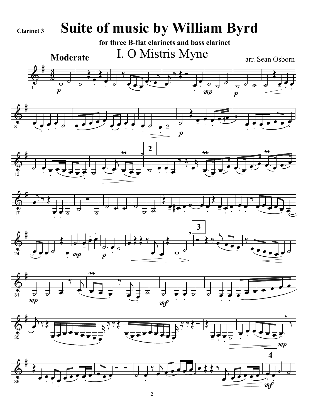

2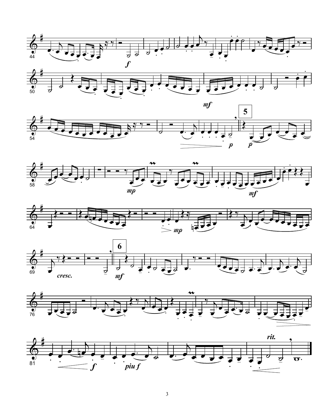











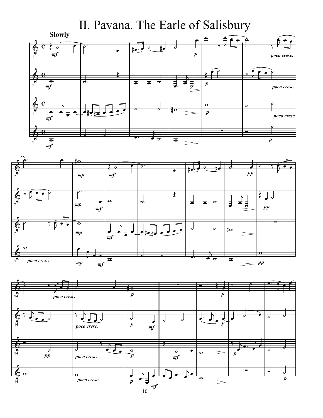



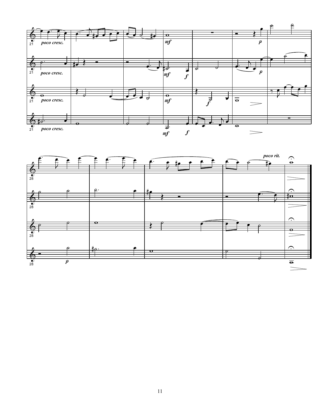

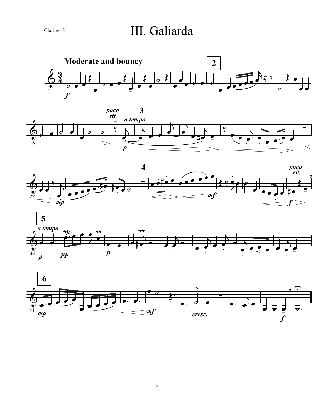Clarinet 3 **III.** Galiarda





5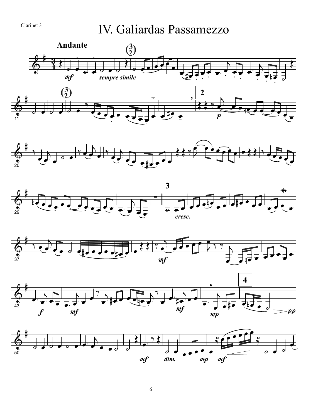Clarinet 3 **IV.** Galiardas Passamezzo













6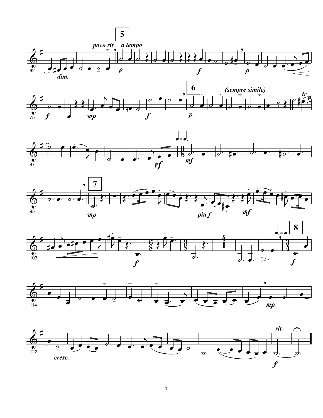











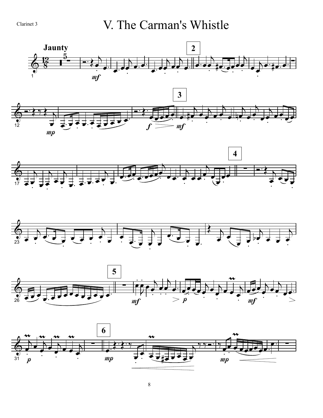V. The Carman's Whistle









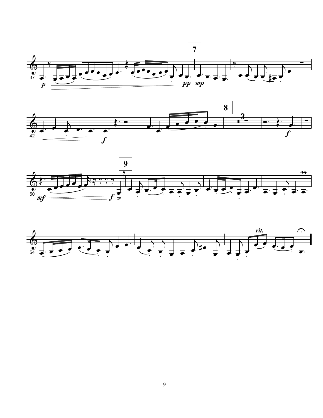





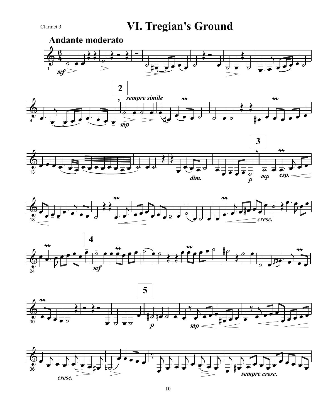# Clarinet 3 **VI. Tregian's Ground**













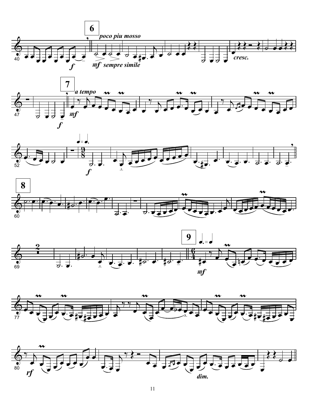